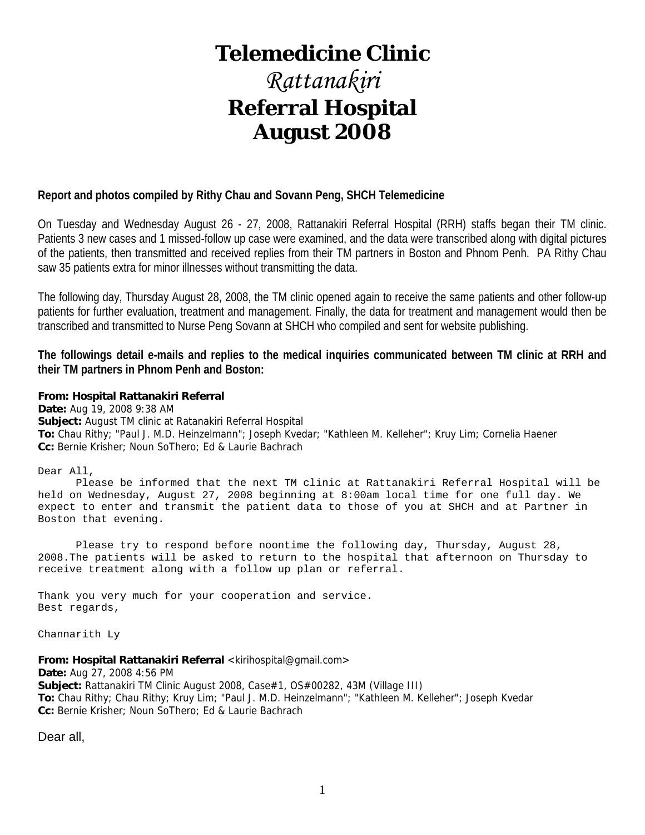# **Telemedicine Clinic**

# *Rattanakiri*  **Referral Hospital August 2008**

#### **Report and photos compiled by Rithy Chau and Sovann Peng, SHCH Telemedicine**

On Tuesday and Wednesday August 26 - 27, 2008, Rattanakiri Referral Hospital (RRH) staffs began their TM clinic. Patients 3 new cases and 1 missed-follow up case were examined, and the data were transcribed along with digital pictures of the patients, then transmitted and received replies from their TM partners in Boston and Phnom Penh. PA Rithy Chau saw 35 patients extra for minor illnesses without transmitting the data.

The following day, Thursday August 28, 2008, the TM clinic opened again to receive the same patients and other follow-up patients for further evaluation, treatment and management. Finally, the data for treatment and management would then be transcribed and transmitted to Nurse Peng Sovann at SHCH who compiled and sent for website publishing.

**The followings detail e-mails and replies to the medical inquiries communicated between TM clinic at RRH and their TM partners in Phnom Penh and Boston:** 

#### **From: Hospital Rattanakiri Referral**

**Date:** Aug 19, 2008 9:38 AM **Subject:** August TM clinic at Ratanakiri Referral Hospital **To:** Chau Rithy; "Paul J. M.D. Heinzelmann"; Joseph Kvedar; "Kathleen M. Kelleher"; Kruy Lim; Cornelia Haener **Cc:** Bernie Krisher; Noun SoThero; Ed & Laurie Bachrach

#### Dear All,

 Please be informed that the next TM clinic at Rattanakiri Referral Hospital will be held on Wednesday, August 27, 2008 beginning at 8:00am local time for one full day. We expect to enter and transmit the patient data to those of you at SHCH and at Partner in Boston that evening.

 Please try to respond before noontime the following day, Thursday, August 28, 2008.The patients will be asked to return to the hospital that afternoon on Thursday to receive treatment along with a follow up plan or referral.

Thank you very much for your cooperation and service. Best regards,

Channarith Ly

**From: Hospital Rattanakiri Referral** <kirihospital@gmail.com>

**Date:** Aug 27, 2008 4:56 PM **Subject:** Rattanakiri TM Clinic August 2008, Case#1, OS#00282, 43M (Village III) **To:** Chau Rithy; Chau Rithy; Kruy Lim; "Paul J. M.D. Heinzelmann"; "Kathleen M. Kelleher"; Joseph Kvedar **Cc:** Bernie Krisher; Noun SoThero; Ed & Laurie Bachrach

Dear all,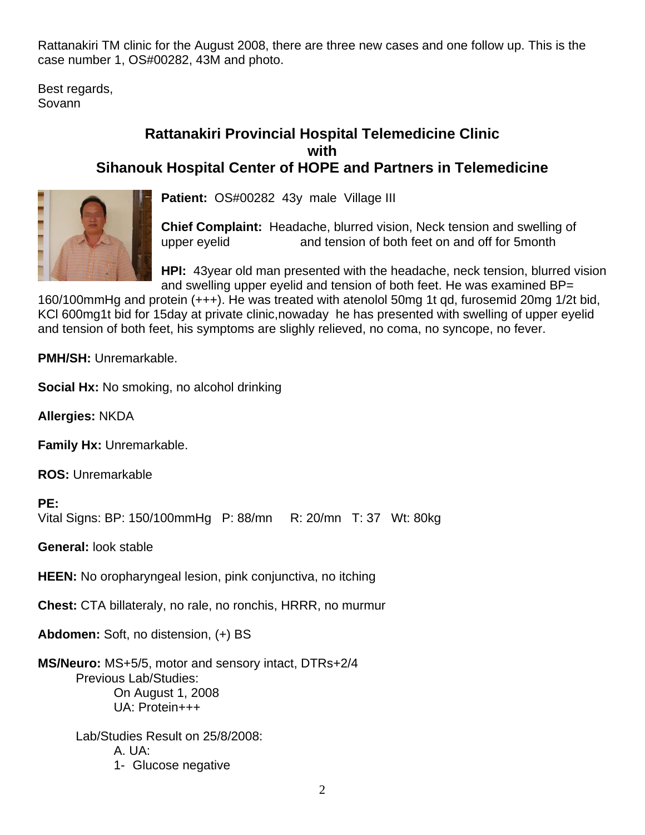Rattanakiri TM clinic for the August 2008, there are three new cases and one follow up. This is the case number 1, OS#00282, 43M and photo.

Best regards, Sovann

# **Rattanakiri Provincial Hospital Telemedicine Clinic with Sihanouk Hospital Center of HOPE and Partners in Telemedicine**



**Patient:** OS#00282 43y male Village III

**Chief Complaint:** Headache, blurred vision, Neck tension and swelling of upper eyelid and tension of both feet on and off for 5month

HPI: 43year old man presented with the headache, neck tension, blurred vision and swelling upper eyelid and tension of both feet. He was examined BP=

160/100mmHg and protein (+++). He was treated with atenolol 50mg 1t qd, furosemid 20mg 1/2t bid, KCl 600mg1t bid for 15day at private clinic,nowaday he has presented with swelling of upper eyeli d and tension of both feet, his symptoms are slighly relieved, no coma, no syncope, no fever.

**PMH/SH:** Unremarkable.

**Social Hx:** No smoking, no alcohol drinking

**Allergies:** NKDA

**Family Hx:** Unremarkable.

**ROS:** Unremarkable

**PE:** 

Vital Signs: BP: 150/100mmHg P: 88/mn R: 20/mn T: 37 Wt: 80kg

**General:** look stable

**HEEN:** No oropharyngeal lesion, pink conjunctiva, no itching

**Chest:** CTA billateraly, no rale, no ronchis, HRRR, no murmur

**Abdomen:** Soft, no distension, (+) BS

**MS/Neuro:** MS+5/5, motor and sensory intact, DTRs+2/4 Previous Lab/Studies: On August 1, 2008 UA: Protein+++

> Lab/Studies Result on 25/8/2008: A. UA: 1- Glucose negative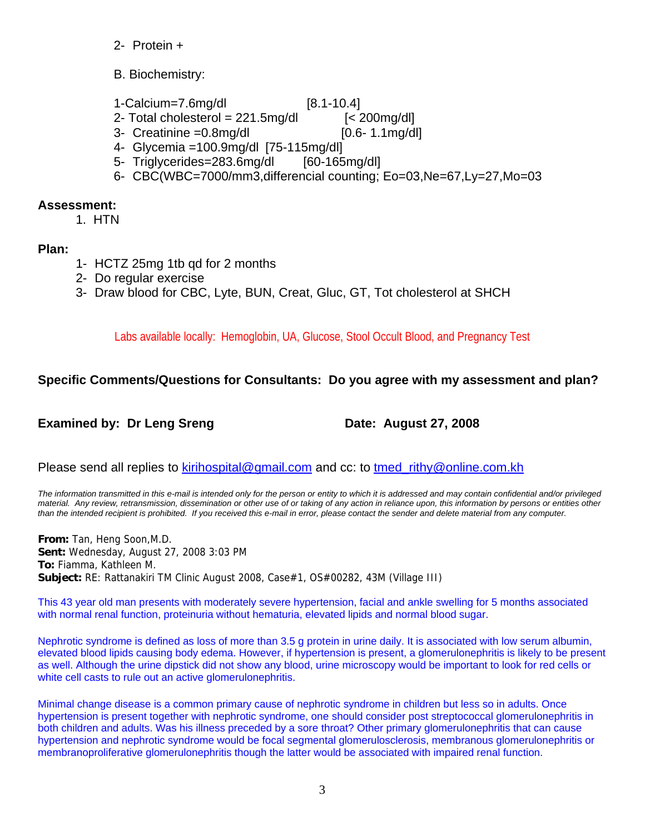- 2- Protein +
- B. Biochemistry:
- 1-Calcium=7.6mg/dl [8.1-10.4]
- 2- Total cholesterol =  $221.5$ mg/dl  $\leq 200$ mg/dl
- 
- 3- Creatinine  $=0.8$ mg/dl  $[0.6 1.1$ mg/dl
- 4- Glycemia =100.9mg/dl [75-115mg/dl]
- 5- Triglycerides=283.6mg/dl [60-165mg/dl]
- 6- CBC(WBC=7000/mm3,differencial counting; Eo=03,Ne=67,Ly=27,Mo=03

## **Assessment:**

1. HTN

## **Plan:**

- 1- HCTZ 25mg 1tb qd for 2 months
- 2- Do regular exercise
- 3- Draw blood for CBC, Lyte, BUN, Creat, Gluc, GT, Tot cholesterol at SHCH

Labs available locally: Hemoglobin, UA, Glucose, Stool Occult Blood, and Pregnancy Test

## **Specific Comments/Questions for Consultants: Do you agree with my assessment and plan?**

**Examined by: Dr Leng Sreng Date: August 27, 2008** 

Please send all replies to [kirihospital@gmail.com](mailto:kirihospital@gmail.com) and cc: to tmed rithy@online.com.kh

*The information transmitted in this e-mail is intended only for the person or entity to which it is addressed and may contain confidential and/or privileged material. Any review, retransmission, dissemination or other use of or taking of any action in reliance upon, this information by persons or entities other than the intended recipient is prohibited. If you received this e-mail in error, please contact the sender and delete material from any computer.*

**From:** Tan, Heng Soon,M.D. **Sent:** Wednesday, August 27, 2008 3:03 PM **To:** Fiamma, Kathleen M. **Subject:** RE: Rattanakiri TM Clinic August 2008, Case#1, OS#00282, 43M (Village III)

This 43 year old man presents with moderately severe hypertension, facial and ankle swelling for 5 months associated with normal renal function, proteinuria without hematuria, elevated lipids and normal blood sugar.

Nephrotic syndrome is defined as loss of more than 3.5 g protein in urine daily. It is associated with low serum albumin, elevated blood lipids causing body edema. However, if hypertension is present, a glomerulonephritis is likely to be present as well. Although the urine dipstick did not show any blood, urine microscopy would be important to look for red cells or white cell casts to rule out an active glomerulonephritis.

Minimal change disease is a common primary cause of nephrotic syndrome in children but less so in adults. Once hypertension is present together with nephrotic syndrome, one should consider post streptococcal glomerulonephritis in both children and adults. Was his illness preceded by a sore throat? Other primary glomerulonephritis that can cause hypertension and nephrotic syndrome would be focal segmental glomerulosclerosis, membranous glomerulonephritis or membranoproliferative glomerulonephritis though the latter would be associated with impaired renal function.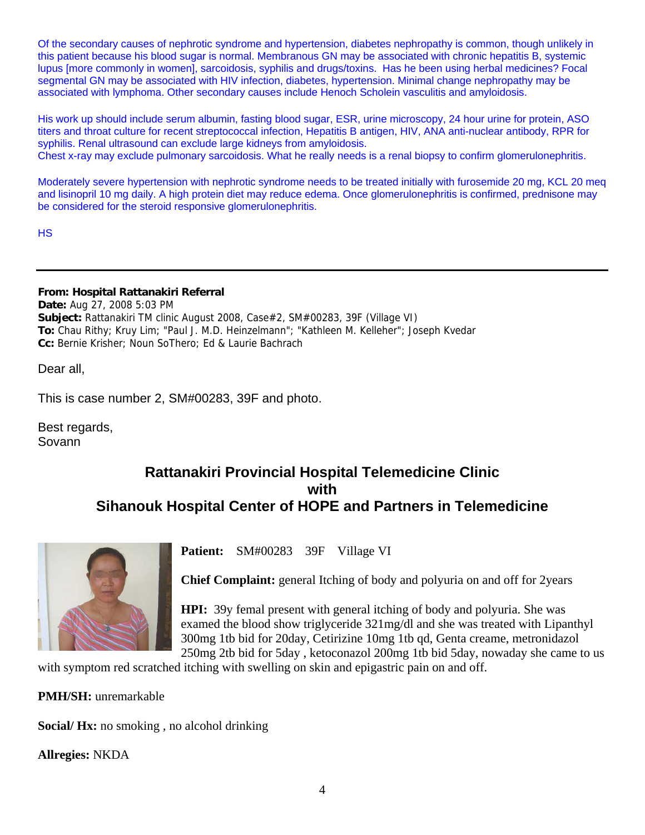Of the secondary causes of nephrotic syndrome and hypertension, diabetes nephropathy is common, though unlikely in this patient because his blood sugar is normal. Membranous GN may be associated with chronic hepatitis B, systemic lupus [more commonly in women], sarcoidosis, syphilis and drugs/toxins. Has he been using herbal medicines? Focal segmental GN may be associated with HIV infection, diabetes, hypertension. Minimal change nephropathy may be associated with lymphoma. Other secondary causes include Henoch Scholein vasculitis and amyloidosis.

His work up should include serum albumin, fasting blood sugar, ESR, urine microscopy, 24 hour urine for protein, ASO titers and throat culture for recent streptococcal infection, Hepatitis B antigen, HIV, ANA anti-nuclear antibody, RPR for syphilis. Renal ultrasound can exclude large kidneys from amyloidosis. Chest x-ray may exclude pulmonary sarcoidosis. What he really needs is a renal biopsy to confirm glomerulonephritis.

Moderately severe hypertension with nephrotic syndrome needs to be treated initially with furosemide 20 mg, KCL 20 meq and lisinopril 10 mg daily. A high protein diet may reduce edema. Once glomerulonephritis is confirmed, prednisone may

HS

#### **From: Hospital Rattanakiri Referral**

**Date:** Aug 27, 2008 5:03 PM **Subject:** Rattanakiri TM clinic August 2008, Case#2, SM#00283, 39F (Village VI) **To:** Chau Rithy; Kruy Lim; "Paul J. M.D. Heinzelmann"; "Kathleen M. Kelleher"; Joseph Kvedar **Cc:** Bernie Krisher; Noun SoThero; Ed & Laurie Bachrach

Dear all,

This is case number 2, SM#00283, 39F and photo.

be considered for the steroid responsive glomerulonephritis.

Best regards, Sovann

# **Rattanakiri Provincial Hospital Telemedicine Clinic with Sihanouk Hospital Center of HOPE and Partners in Telemedicine**



**Patient:** SM#00283 39F Village VI

**Chief Complaint:** general Itching of body and polyuria on and off for 2years

**HPI:** 39y femal present with general itching of body and polyuria. She was examed the blood show triglyceride 321mg/dl and she was treated with Lipanthyl 300mg 1tb bid for 20day, Cetirizine 10mg 1tb qd, Genta creame, metronidazol 250mg 2tb bid for 5day , ketoconazol 200mg 1tb bid 5day, nowaday she came to us

with symptom red scratched itching with swelling on skin and epigastric pain on and off.

**PMH/SH:** unremarkable

**Social/ Hx:** no smoking , no alcohol drinking

**Allregies:** NKDA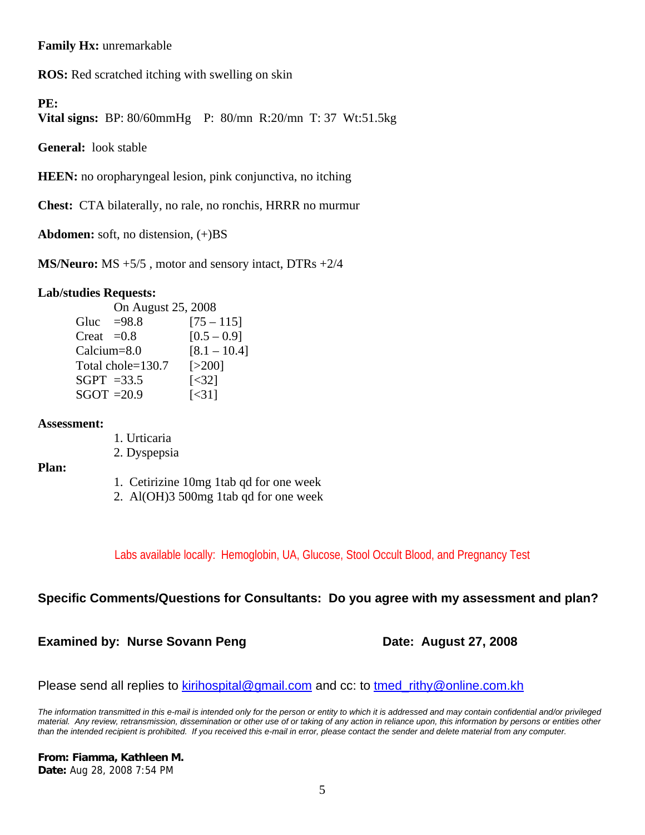#### **Family Hx:** unremarkable

**ROS:** Red scratched itching with swelling on skin

#### **PE:**

**Vital signs:** BP: 80/60mmHg P: 80/mn R:20/mn T: 37 Wt:51.5kg

**General:** look stable

**HEEN:** no oropharyngeal lesion, pink conjunctiva, no itching

**Chest:** CTA bilaterally, no rale, no ronchis, HRRR no murmur

**Abdomen:** soft, no distension, (+)BS

**MS/Neuro:** MS +5/5 , motor and sensory intact, DTRs +2/4

#### **Lab/studies Requests:**

|              | On August 25, 2008 |                                 |
|--------------|--------------------|---------------------------------|
|              | Gluc $=98.8$       | $[75 - 115]$                    |
| Creat $=0.8$ |                    | $[0.5 - 0.9]$                   |
|              | $Calcium=8.0$      | $[8.1 - 10.4]$                  |
|              | Total chole=130.7  | [>200]                          |
|              | SGPT $=33.5$       | $\left[ \leq 32 \right]$        |
|              | $SGOT = 20.9$      | $\left[\right]$ $\left[\right]$ |

#### **Assessment:**

1. Urticaria

2. Dyspepsia

#### **Plan:**

- 1. Cetirizine 10mg 1tab qd for one week
- 2. Al(OH)3 500mg 1tab qd for one week

Labs available locally: Hemoglobin, UA, Glucose, Stool Occult Blood, and Pregnancy Test

#### **Specific Comments/Questions for Consultants: Do you agree with my assessment and plan?**

## **Examined by: Nurse Sovann Peng Date: August 27, 2008**

Please send all replies to [kirihospital@gmail.com](mailto:kirihospital@gmail.com) and cc: to tmed rithy@online.com.kh

*The information transmitted in this e-mail is intended only for the person or entity to which it is addressed and may contain confidential and/or privileged material. Any review, retransmission, dissemination or other use of or taking of any action in reliance upon, this information by persons or entities other than the intended recipient is prohibited. If you received this e-mail in error, please contact the sender and delete material from any computer.*

**From: Fiamma, Kathleen M. Date:** Aug 28, 2008 7:54 PM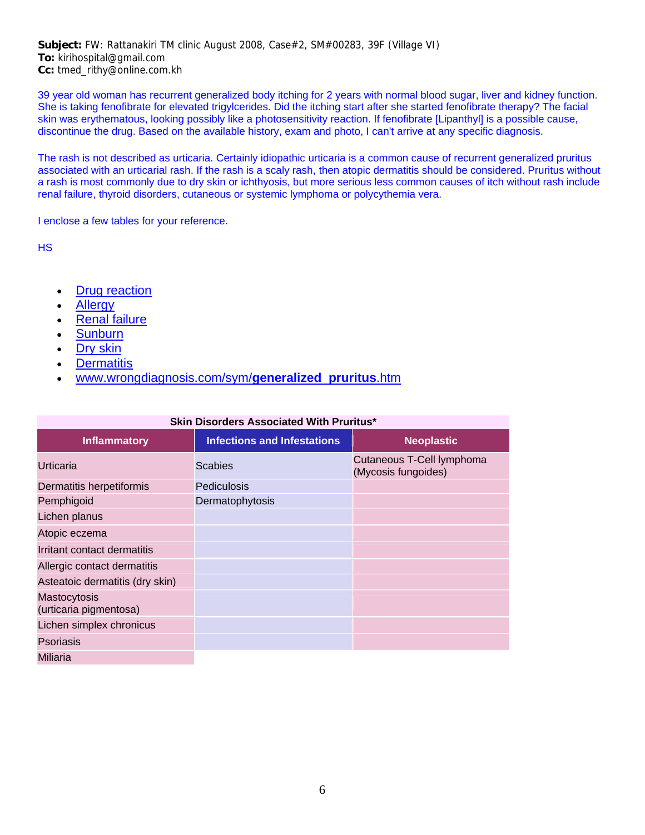**Subject:** FW: Rattanakiri TM clinic August 2008, Case#2, SM#00283, 39F (Village VI) **To:** kirihospital@gmail.com **Cc:** tmed\_rithy@online.com.kh

39 year old woman has recurrent generalized body itching for 2 years with normal blood sugar, liver and kidney function. She is taking fenofibrate for elevated trigylcerides. Did the itching start after she started fenofibrate therapy? The facial skin was erythematous, looking possibly like a photosensitivity reaction. If fenofibrate [Lipanthyl] is a possible cause, discontinue the drug. Based on the available history, exam and photo, I can't arrive at any specific diagnosis.

The rash is not described as urticaria. Certainly idiopathic urticaria is a common cause of recurrent generalized pruritus associated with an urticarial rash. If the rash is a scaly rash, then atopic dermatitis should be considered. Pruritus without a rash is most commonly due to dry skin or ichthyosis, but more serious less common causes of itch without rash include renal failure, thyroid disorders, cutaneous or systemic lymphoma or polycythemia vera.

I enclose a few tables for your reference.

**HS** 

- **[Drug reaction](http://www.wrongdiagnosis.com/medical/drug_reaction.htm)**
- **Allergy**
- [Renal failure](http://www.wrongdiagnosis.com/k/kidney_failure/intro.htm)
- **[Sunburn](http://www.wrongdiagnosis.com/s/sunburn/intro.htm)**
- [Dry skin](http://www.wrongdiagnosis.com/d/dry_skin/intro.htm)
- **[Dermatitis](http://www.wrongdiagnosis.com/d/dermatitis/intro.htm)**
- [www.wrongdiagnosis.com/sym/](http://www.wrongdiagnosis.com/sym/generalized_pruritus.htm)**generalized**\_**pruritus**.htm

| <b>Inflammatory</b>                    | <b>Infections and Infestations</b> | <b>Neoplastic</b>                                |
|----------------------------------------|------------------------------------|--------------------------------------------------|
| Urticaria                              | <b>Scabies</b>                     | Cutaneous T-Cell lymphoma<br>(Mycosis fungoides) |
| Dermatitis herpetiformis               | Pediculosis                        |                                                  |
| Pemphigoid                             | Dermatophytosis                    |                                                  |
| Lichen planus                          |                                    |                                                  |
| Atopic eczema                          |                                    |                                                  |
| Irritant contact dermatitis            |                                    |                                                  |
| Allergic contact dermatitis            |                                    |                                                  |
| Asteatoic dermatitis (dry skin)        |                                    |                                                  |
| Mastocytosis<br>(urticaria pigmentosa) |                                    |                                                  |
| Lichen simplex chronicus               |                                    |                                                  |
| <b>Psoriasis</b>                       |                                    |                                                  |
| <b>Miliaria</b>                        |                                    |                                                  |

#### **Skin Disorders Associated With Pruritus\***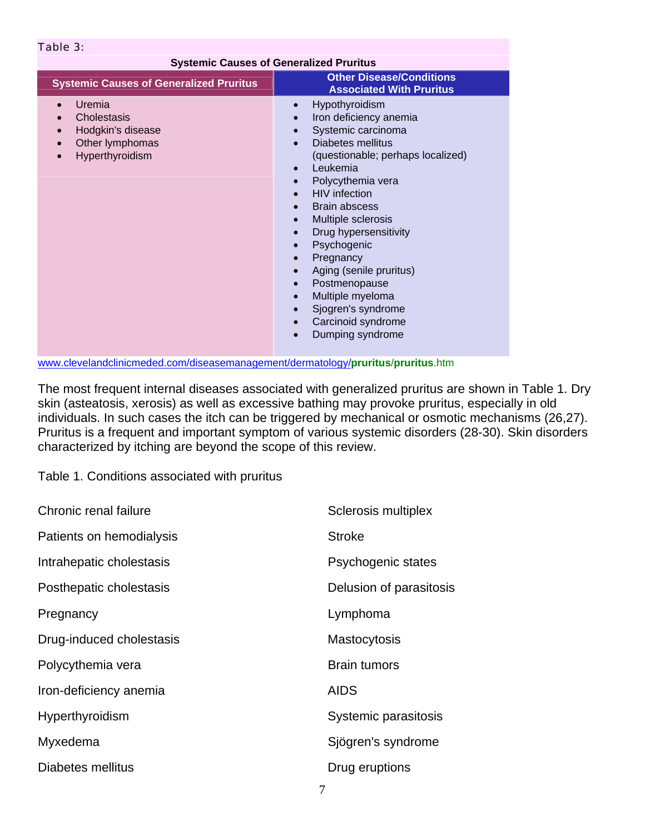#### Table 3:

| <b>Systemic Causes of Generalized Pruritus</b>                                                                                       |                                                                                                                                                                                                                                                                                                                                                                                                                                                                                                                                                                                                            |  |  |
|--------------------------------------------------------------------------------------------------------------------------------------|------------------------------------------------------------------------------------------------------------------------------------------------------------------------------------------------------------------------------------------------------------------------------------------------------------------------------------------------------------------------------------------------------------------------------------------------------------------------------------------------------------------------------------------------------------------------------------------------------------|--|--|
| <b>Systemic Causes of Generalized Pruritus</b>                                                                                       | <b>Other Disease/Conditions</b><br><b>Associated With Pruritus</b>                                                                                                                                                                                                                                                                                                                                                                                                                                                                                                                                         |  |  |
| Uremia<br>$\bullet$<br>Cholestasis<br>Hodgkin's disease<br>$\bullet$<br>Other lymphomas<br>$\bullet$<br>Hyperthyroidism<br>$\bullet$ | Hypothyroidism<br>$\bullet$<br>Iron deficiency anemia<br>$\bullet$<br>Systemic carcinoma<br>Diabetes mellitus<br>$\bullet$<br>(questionable; perhaps localized)<br>Leukemia<br>$\bullet$<br>Polycythemia vera<br>$\bullet$<br><b>HIV</b> infection<br><b>Brain abscess</b><br>$\bullet$<br>Multiple sclerosis<br>$\bullet$<br>Drug hypersensitivity<br>$\bullet$<br>Psychogenic<br>$\bullet$<br>Pregnancy<br>$\bullet$<br>Aging (senile pruritus)<br>$\bullet$<br>Postmenopause<br>$\bullet$<br>Multiple myeloma<br>$\bullet$<br>Sjogren's syndrome<br>$\bullet$<br>Carcinoid syndrome<br>Dumping syndrome |  |  |

[www.clevelandclinicmeded.com/diseasemanagement/dermatology/](http://www.clevelandclinicmeded.com/diseasemanagement/dermatology/)**pruritus**/**pruritus**.htm

The most frequent internal diseases associated with generalized pruritus are shown in Table 1. Dry skin (asteatosis, xerosis) as well as excessive bathing may provoke pruritus, especially in old individuals. In such cases the itch can be triggered by mechanical or osmotic mechanisms (26,27). Pruritus is a frequent and important symptom of various systemic disorders (28-30). Skin disorders characterized by itching are beyond the scope of this review.

Table 1. Conditions associated with pruritus

| Chronic renal failure    | Sclerosis multiplex     |
|--------------------------|-------------------------|
| Patients on hemodialysis | <b>Stroke</b>           |
| Intrahepatic cholestasis | Psychogenic states      |
| Posthepatic cholestasis  | Delusion of parasitosis |
| Pregnancy                | Lymphoma                |
| Drug-induced cholestasis | <b>Mastocytosis</b>     |
| Polycythemia vera        | <b>Brain tumors</b>     |
| Iron-deficiency anemia   | <b>AIDS</b>             |
| Hyperthyroidism          | Systemic parasitosis    |
| Myxedema                 | Sjögren's syndrome      |
| Diabetes mellitus        | Drug eruptions          |
|                          |                         |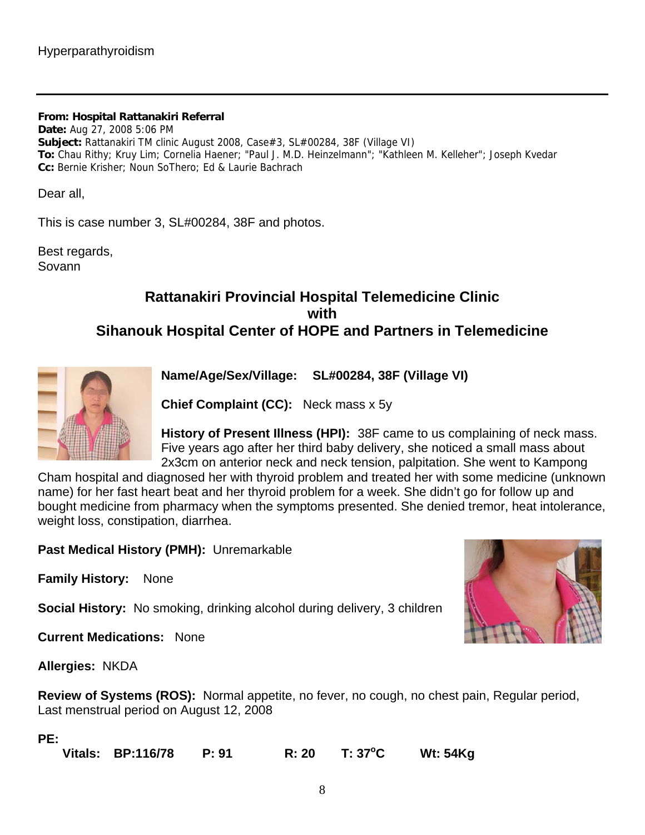**From: Hospital Rattanakiri Referral Date:** Aug 27, 2008 5:06 PM **Subject:** Rattanakiri TM clinic August 2008, Case#3, SL#00284, 38F (Village VI) **To:** Chau Rithy; Kruy Lim; Cornelia Haener; "Paul J. M.D. Heinzelmann"; "Kathleen M. Kelleher"; Joseph Kvedar **Cc:** Bernie Krisher; Noun SoThero; Ed & Laurie Bachrach

Dear all,

This is case number 3, SL#00284, 38F and photos.

Best regards, Sovann

# **Rattanakiri Provincial Hospital Telemedicine Clinic with Sihanouk Hospital Center of HOPE and Partners in Telemedicine**



**Name/Age/Sex/Village: SL#00284, 38F (Village VI)** 

**Chief Complaint (CC):** Neck mass x 5y

**History of Present Illness (HPI):** 38F came to us complaining of neck mass. Five years ago after her third baby delivery, she noticed a small mass about 2x3cm on anterior neck and neck tension, palpitation. She went to Kampong

Cham hospital and diagnosed her with thyroid problem and treated her with some medicine (unknown name) for her fast heart beat and her thyroid problem for a week. She didn't go for follow up and bought medicine from pharmacy when the symptoms presented. She denied tremor, heat intolerance, weight loss, constipation, diarrhea.

**Past Medical History (PMH):** Unremarkable

**Family History:** None

**Social History:** No smoking, drinking alcohol during delivery, 3 children

**Current Medications:** None

**Allergies:** NKDA

**Review of Systems (ROS):** Normal appetite, no fever, no cough, no chest pain, Regular period, Last menstrual period on August 12, 2008

#### **PE:**

 **Vitals: BP:116/78 P: 91 R: 20 T: 37o C Wt: 54Kg**

8

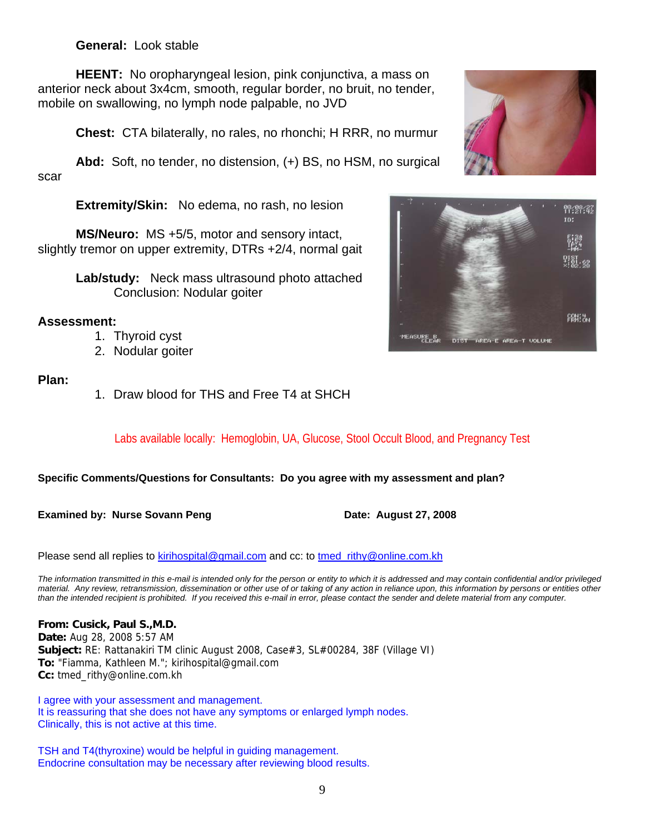#### **General:** Look stable

**HEENT:** No oropharyngeal lesion, pink conjunctiva, a mass on anterior neck about 3x4cm, smooth, regular border, no bruit, no tender, mobile on swallowing, no lymph node palpable, no JVD

**Chest:** CTA bilaterally, no rales, no rhonchi; H RRR, no murmur

**Abd:** Soft, no tender, no distension, (+) BS, no HSM, no surgical scar

**Extremity/Skin:** No edema, no rash, no lesion

**MS/Neuro:** MS +5/5, motor and sensory intact, slightly tremor on upper extremity, DTRs +2/4, normal gait

> **Lab/study:** Neck mass ultrasound photo attached Conclusion: Nodular goiter

#### **Assessment:**

- 1. Thyroid cyst
- 2. Nodular goiter

#### **Plan:**

1. Draw blood for THS and Free T4 at SHCH

#### Labs available locally: Hemoglobin, UA, Glucose, Stool Occult Blood, and Pregnancy Test

#### **Specific Comments/Questions for Consultants: Do you agree with my assessment and plan?**

**Examined by: Nurse Sovann Peng Date: August 27, 2008** 

Please send all replies to [kirihospital@gmail.com](mailto:kirihospital@gmail.com) and cc: to [tmed\\_rithy@online.com.kh](mailto:tmed_rithy@bigpond.com.kh)

*The information transmitted in this e-mail is intended only for the person or entity to which it is addressed and may contain confidential and/or privileged material. Any review, retransmission, dissemination or other use of or taking of any action in reliance upon, this information by persons or entities other than the intended recipient is prohibited. If you received this e-mail in error, please contact the sender and delete material from any computer.*

**From: Cusick, Paul S.,M.D. Date:** Aug 28, 2008 5:57 AM **Subject:** RE: Rattanakiri TM clinic August 2008, Case#3, SL#00284, 38F (Village VI) **To:** "Fiamma, Kathleen M."; kirihospital@gmail.com **Cc:** tmed\_rithy@online.com.kh

I agree with your assessment and management. It is reassuring that she does not have any symptoms or enlarged lymph nodes. Clinically, this is not active at this time.

TSH and T4(thyroxine) would be helpful in guiding management. Endocrine consultation may be necessary after reviewing blood results.

9



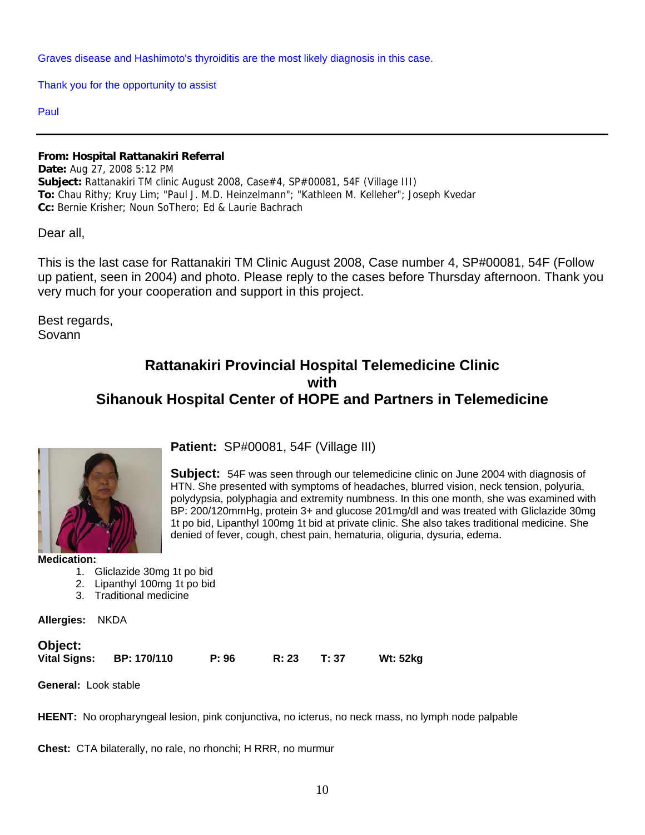Graves disease and Hashimoto's thyroiditis are the most likely diagnosis in this case.

Thank you for the opportunity to assist

Paul

# **From: Hospital Rattanakiri Referral**

**Date:** Aug 27, 2008 5:12 PM **Subject:** Rattanakiri TM clinic August 2008, Case#4, SP#00081, 54F (Village III) **To:** Chau Rithy; Kruy Lim; "Paul J. M.D. Heinzelmann"; "Kathleen M. Kelleher"; Joseph Kvedar **Cc:** Bernie Krisher; Noun SoThero; Ed & Laurie Bachrach

Dear all,

This is the last case for Rattanakiri TM Clinic August 2008, Case number 4, SP#00081, 54F (Follow up patient, seen in 2004) and photo. Please reply to the cases before Thursday afternoon. Thank you very much for your cooperation and support in this project.

Best regards, Sovann

# **Rattanakiri Provincial Hospital Telemedicine Clinic with Sihanouk Hospital Center of HOPE and Partners in Telemedicine**



**Patient:** SP#00081, 54F (Village III)

**Subject:** 54F was seen through our telemedicine clinic on June 2004 with diagnosis of HTN. She presented with symptoms of headaches, blurred vision, neck tension, polyuria, polydypsia, polyphagia and extremity numbness. In this one month, she was examined with BP: 200/120mmHg, protein 3+ and glucose 201mg/dl and was treated with Gliclazide 30mg 1t po bid, Lipanthyl 100mg 1t bid at private clinic. She also takes traditional medicine. She denied of fever, cough, chest pain, hematuria, oliguria, dysuria, edema.

**Medication:** 

- 1. Gliclazide 30mg 1t po bid
- 2. Lipanthyl 100mg 1t po bid
- 3. Traditional medicine

**Allergies:** NKDA

#### **Object:**

**Vital Signs: BP: 170/110 P: 96 R: 23 T: 37 Wt: 52kg**

**General:** Look stable

**HEENT:** No oropharyngeal lesion, pink conjunctiva, no icterus, no neck mass, no lymph node palpable

**Chest:** CTA bilaterally, no rale, no rhonchi; H RRR, no murmur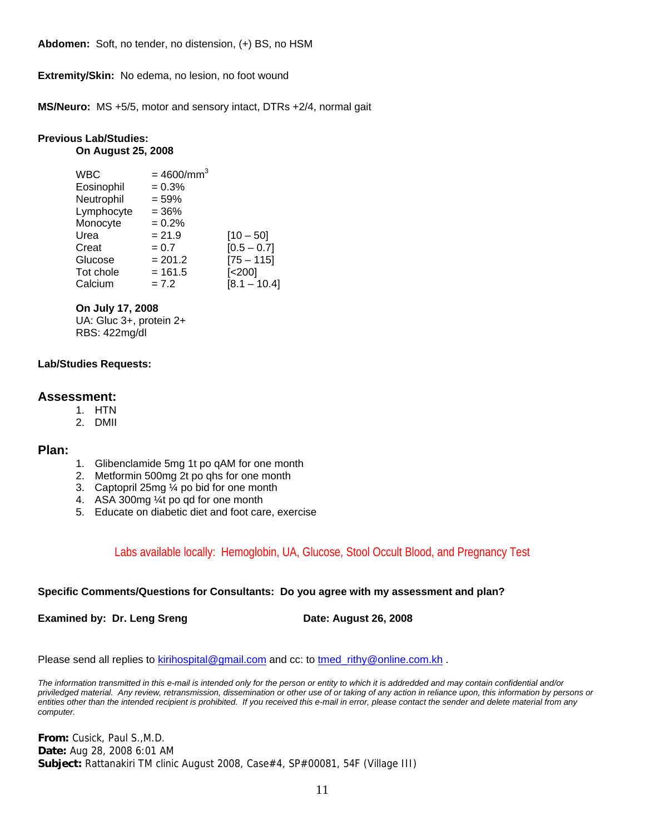**Abdomen:** Soft, no tender, no distension, (+) BS, no HSM

**Extremity/Skin:** No edema, no lesion, no foot wound

**MS/Neuro:** MS +5/5, motor and sensory intact, DTRs +2/4, normal gait

#### **Previous Lab/Studies: On August 25, 2008**

| <b>WBC</b> | $=4600/mm^{3}$ |                    |
|------------|----------------|--------------------|
| Eosinophil | $= 0.3%$       |                    |
| Neutrophil | $= 59%$        |                    |
| Lymphocyte | $= 36%$        |                    |
| Monocyte   | $= 0.2%$       |                    |
| Urea       | $= 21.9$       | $[10 - 50]$        |
| Creat      | $= 0.7$        | $[0.5 - 0.7]$      |
| Glucose    | $= 201.2$      | $[75 - 115]$       |
| Tot chole  | $= 161.5$      | [ <sub>200</sub> ] |
| Calcium    | $= 7.2$        | $[8.1 - 10.4]$     |
|            |                |                    |

#### **On July 17, 2008**

 UA: Gluc 3+, protein 2+ RBS: 422mg/dl

#### **Lab/Studies Requests:**

# **Assessment:** 1. HTN

- 
- 2. DMII

#### **Plan:**

- 1. Glibenclamide 5mg 1t po qAM for one month
- 2. Metformin 500mg 2t po qhs for one month
- 3. Captopril 25mg ¼ po bid for one month
- 4. ASA 300mg ¼t po qd for one month
- 5. Educate on diabetic diet and foot care, exercise

#### Labs available locally: Hemoglobin, UA, Glucose, Stool Occult Blood, and Pregnancy Test

#### **Specific Comments/Questions for Consultants: Do you agree with my assessment and plan?**

**Examined by: Dr. Leng Sreng Date: August 26, 2008** 

Please send all replies to [kirihospital@gmail.com](mailto:kirihospital@gmail.com) and cc: to tmed rithy@online.com.kh .

*The information transmitted in this e-mail is intended only for the person or entity to which it is addredded and may contain confidential and/or priviledged material. Any review, retransmission, dissemination or other use of or taking of any action in reliance upon, this information by persons or entities other than the intended recipient is prohibited. If you received this e-mail in error, please contact the sender and delete material from any computer.*

**From:** Cusick, Paul S.,M.D. **Date:** Aug 28, 2008 6:01 AM **Subject:** Rattanakiri TM clinic August 2008, Case#4, SP#00081, 54F (Village III)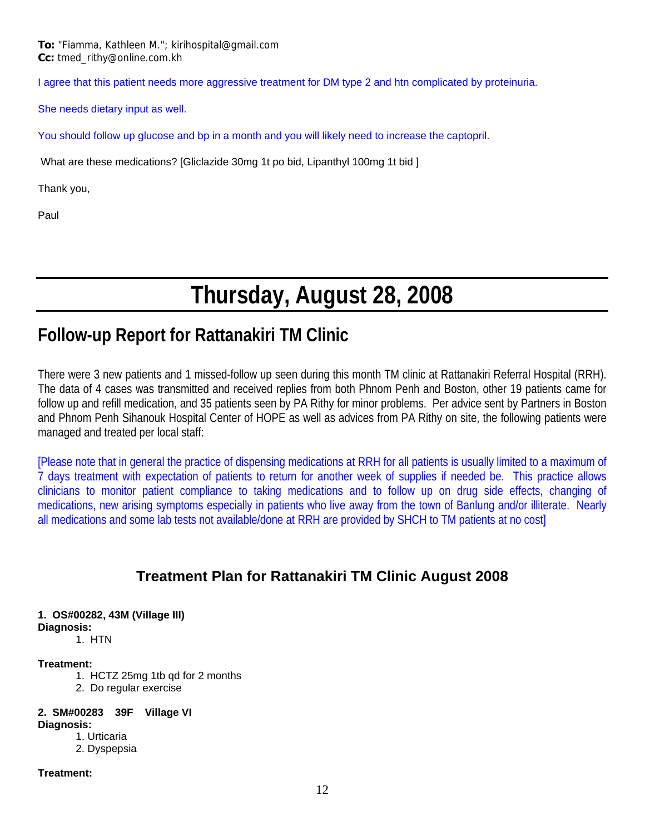I agree that this patient needs more aggressive treatment for DM type 2 and htn complicated by proteinuria.

She needs dietary input as well.

You should follow up glucose and bp in a month and you will likely need to increase the captopril.

What are these medications? [Gliclazide 30mg 1t po bid, Lipanthyl 100mg 1t bid ]

Thank you,

Paul

# **Thursday, August 28, 2008**

# **Follow-up Report for Rattanakiri TM Clinic**

There were 3 new patients and 1 missed-follow up seen during this month TM clinic at Rattanakiri Referral Hospital (RRH). The data of 4 cases was transmitted and received replies from both Phnom Penh and Boston, other 19 patients came for follow up and refill medication, and 35 patients seen by PA Rithy for minor problems. Per advice sent by Partners in Boston and Phnom Penh Sihanouk Hospital Center of HOPE as well as advices from PA Rithy on site, the following patients were managed and treated per local staff:

[Please note that in general the practice of dispensing medications at RRH for all patients is usually limited to a maximum of 7 days treatment with expectation of patients to return for another week of supplies if needed be. This practice allows clinicians to monitor patient compliance to taking medications and to follow up on drug side effects, changing of medications, new arising symptoms especially in patients who live away from the town of Banlung and/or illiterate. Nearly all medications and some lab tests not available/done at RRH are provided by SHCH to TM patients at no cost]

# **Treatment Plan for Rattanakiri TM Clinic August 2008**

**1. OS#00282, 43M (Village III) Diagnosis:** 

1. HTN

#### **Treatment:**

1. HCTZ 25mg 1tb qd for 2 months

2. Do regular exercise

## **2. SM#00283 39F Village VI**

- **Diagnosis:** 
	- 1. Urticaria
	- 2. Dyspepsia

#### **Treatment:**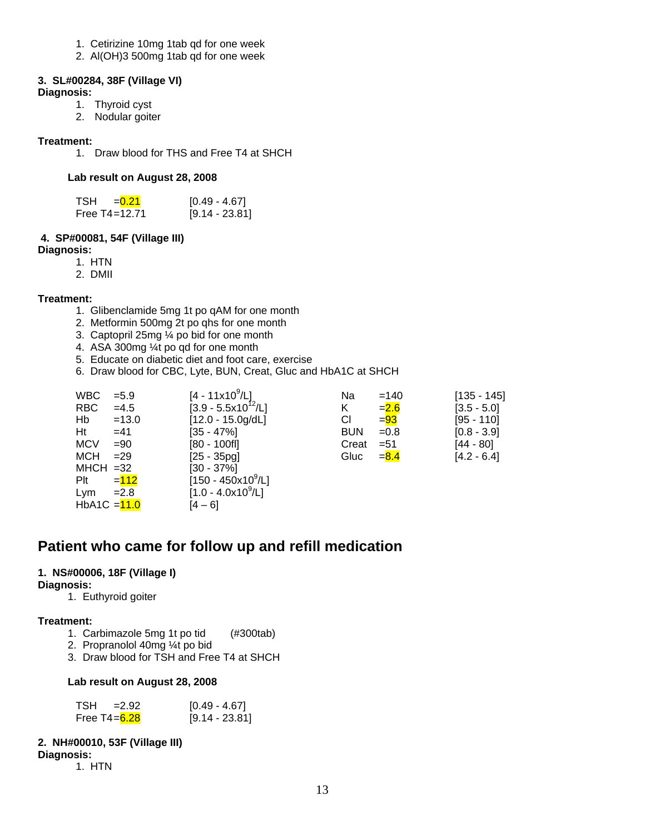- 1. Cetirizine 10mg 1tab qd for one week
- 2. Al(OH)3 500mg 1tab qd for one week

#### **3. SL#00284, 38F (Village VI)**

#### **Diagnosis:**

- 1. Thyroid cyst
- 2. Nodular goiter

#### **Treatment:**

1. Draw blood for THS and Free T4 at SHCH

#### **Lab result on August 28, 2008**

| TSH = 0.21        | $[0.49 - 4.67]$  |
|-------------------|------------------|
| Free $T4 = 12.71$ | $[9.14 - 23.81]$ |

#### **4. SP#00081, 54F (Village III)**

#### **Diagnosis:**

- 1. HTN
- 2. DMII

#### **Treatment:**

- 1. Glibenclamide 5mg 1t po qAM for one month
- 2. Metformin 500mg 2t po qhs for one month
- 3. Captopril 25mg ¼ po bid for one month
- 4. ASA 300mg ¼t po qd for one month
- 5. Educate on diabetic diet and foot care, exercise
- 6. Draw blood for CBC, Lyte, BUN, Creat, Gluc and HbA1C at SHCH

| <b>WBC</b>     | $= 5.9$ | $[4 - 11 \times 10^9/L]$         | Na         | $=140$  | $[135 - 145]$ |
|----------------|---------|----------------------------------|------------|---------|---------------|
| RBC            | $=4.5$  | $[3.9 - 5.5 \times 10^{12} / L]$ | Κ          | $= 2.6$ | $[3.5 - 5.0]$ |
| Hb             | $=13.0$ | $[12.0 - 15.0g/dL]$              | СI         | $= 93$  | $[95 - 110]$  |
| Ht             | $=41$   | $[35 - 47\%]$                    | <b>BUN</b> | $=0.8$  | $[0.8 - 3.9]$ |
| <b>MCV</b>     | $= 90$  | $[80 - 100$ fl]                  | Creat      | $= 51$  | $[44 - 80]$   |
| MCH            | $=29$   | $[25 - 35pg]$                    | Gluc       | $= 8.4$ | $[4.2 - 6.4]$ |
| $MHCH = 32$    |         | $[30 - 37\%]$                    |            |         |               |
| Plt            | $= 112$ | $[150 - 450x10^9/L]$             |            |         |               |
| Lym            | $=2.8$  | $[1.0 - 4.0x10^9/L]$             |            |         |               |
| HbA1C $=$ 11.0 |         | $[4 - 6]$                        |            |         |               |

# **Patient who came for follow up and refill medication**

#### **1. NS#00006, 18F (Village I)**

#### **Diagnosis:**

1. Euthyroid goiter

#### **Treatment:**

- 1. Carbimazole 5mg 1t po tid (#300tab)
- 2. Propranolol 40mg ¼t po bid
- 3. Draw blood for TSH and Free T4 at SHCH

#### **Lab result on August 28, 2008**

| $TSH = 2.92$    | [0.49 - 4.67]    |
|-----------------|------------------|
| Free T4= $6.28$ | $[9.14 - 23.81]$ |

#### **2. NH#00010, 53F (Village III)**

#### **Diagnosis:**

1. HTN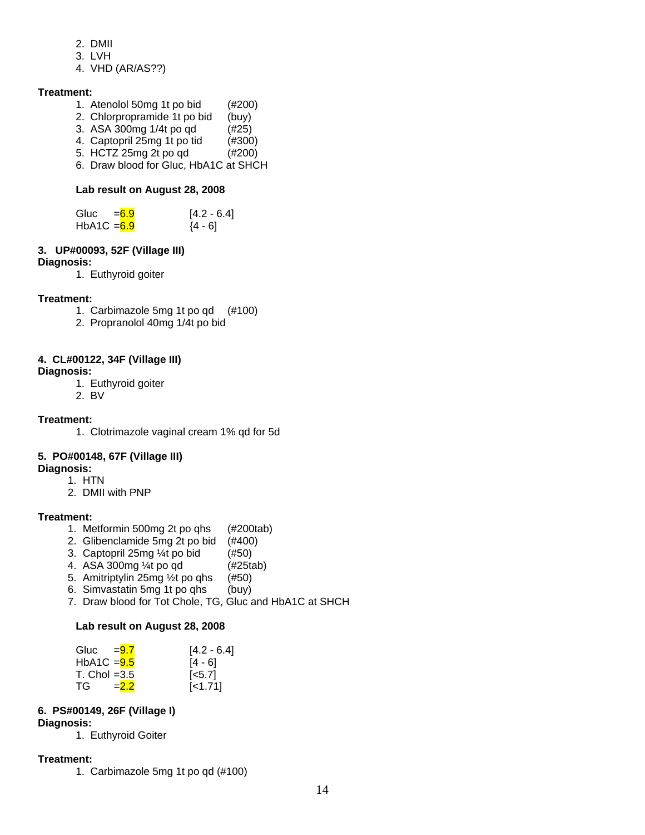- 2. DMII
- 3. LVH
- 4. VHD (AR/AS??)

#### **Treatment:**

- 1. Atenolol 50mg 1t po bid (#200)
- 2. Chlorpropramide 1t po bid (buy)
- 3. ASA 300mg 1/4t po qd (#25)
- 4. Captopril 25mg 1t po tid (#300)
- 5. HCTZ 25mg 2t po qd (#200)
- 6. Draw blood for Gluc, HbA1C at SHCH

#### **Lab result on August 28, 2008**

| Gluc          | $= 6.9$ | $[4.2 - 6.4]$ |
|---------------|---------|---------------|
| $HbA1C = 6.9$ |         | ${4 - 6}$     |

#### **3. UP#00093, 52F (Village III)**

#### **Diagnosis:**

1. Euthyroid goiter

#### **Treatment:**

- 1. Carbimazole 5mg 1t po qd (#100)
- 2. Propranolol 40mg 1/4t po bid

#### **4. CL#00122, 34F (Village III)**

#### **Diagnosis:**

- 1. Euthyroid goiter
- 2. BV

#### **Treatment:**

1. Clotrimazole vaginal cream 1% qd for 5d

#### **5. PO#00148, 67F (Village III)**

**Diagnosis:** 

- 1. HTN
- 2. DMII with PNP

#### **Treatment:**

- 1. Metformin 500mg 2t po qhs (#200tab)
- 2. Glibenclamide 5mg 2t po bid (#400)
- 3. Captopril  $25mg \frac{1}{4}$  po bid  $(#50)$
- 4. ASA 300mg ¼t po qd (#25tab)
- 5. Amitriptylin 25mg ½t po qhs (#50)
- 6. Simvastatin 5mg 1t po qhs (buy)
- 7. Draw blood for Tot Chole, TG, Gluc and HbA1C at SHCH

#### **Lab result on August 28, 2008**

| Gluc $=9.7$    |         | $[4.2 - 6.4]$      |
|----------------|---------|--------------------|
| $HbA1C = 9.5$  |         | $[4 - 6]$          |
| T. Chol $=3.5$ |         | $\left[5.7\right]$ |
| TG –           | $= 2.2$ | $[-1.71]$          |

#### **6. PS#00149, 26F (Village I)**

#### **Diagnosis:**

1. Euthyroid Goiter

#### **Treatment:**

1. Carbimazole 5mg 1t po qd (#100)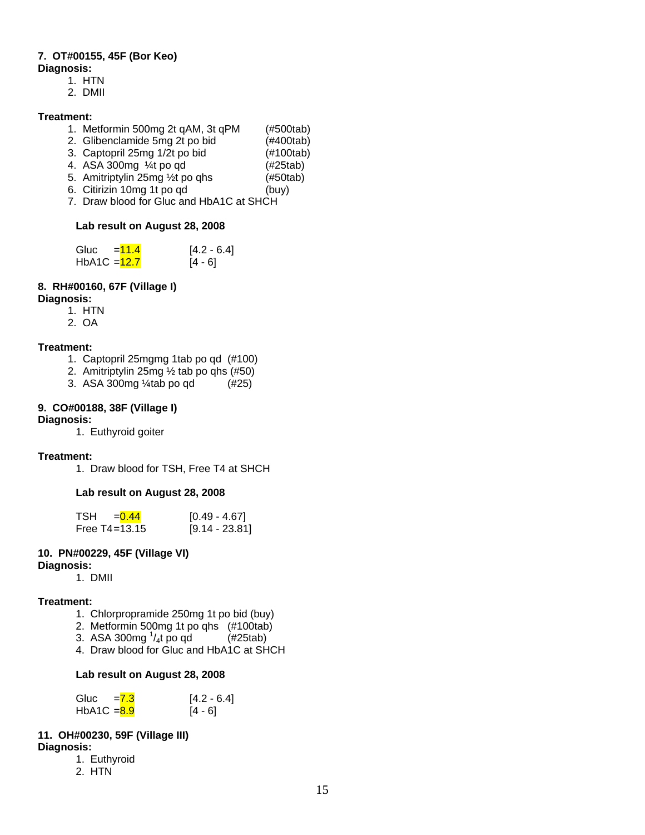#### **7. OT#00155, 45F (Bor Keo) Diagnosis:**

- 1. HTN
- 2. DMII
- 

#### **Treatment:**

- 1. Metformin 500mg 2t qAM, 3t qPM (#500tab)
- 2. Glibenclamide 5mg 2t po bid (#400tab)
- 3. Captopril 25mg 1/2t po bid (#100tab)
- 4. ASA 300mg  $\frac{1}{4}$ t po qd (#25tab)
- 5. Amitriptylin 25mg ½t po qhs (#50tab) 6. Citirizin 10mg 1t po qd (buy)
- 7. Draw blood for Gluc and HbA1C at SHCH

#### **Lab result on August 28, 2008**

| Gluc<br>$= 11.4$ | $[4.2 - 6.4]$ |
|------------------|---------------|
| HbA1C $=$ 12.7   | $[4 - 6]$     |

## **8. RH#00160, 67F (Village I)**

#### **Diagnosis:**

- 1. HTN
- 2. OA

#### **Treatment:**

- 1. Captopril 25mgmg 1tab po qd (#100)
- 2. Amitriptylin 25mg ½ tab po qhs (#50)
- 3. ASA 300mg ¼tab po qd (#25)

# **9. CO#00188, 38F (Village I)**

#### **Diagnosis:**

1. Euthyroid goiter

#### **Treatment:**

1. Draw blood for TSH, Free T4 at SHCH

#### **Lab result on August 28, 2008**

| TSH = 0.44        | $[0.49 - 4.67]$  |
|-------------------|------------------|
| Free $T4 = 13.15$ | $[9.14 - 23.81]$ |

#### **10. PN#00229, 45F (Village VI)**

#### **Diagnosis:**

1. DMII

#### **Treatment:**

- 1. Chlorpropramide 250mg 1t po bid (buy)
- 2. Metformin 500mg 1t po qhs (#100tab)
- 3. ASA 300mg  $^{1}/_{4}$ t po qd (#25tab)
- 4. Draw blood for Gluc and HbA1C at SHCH

#### **Lab result on August 28, 2008**

| Gluc                     | $= 7.3$ | $[4.2 - 6.4]$ |
|--------------------------|---------|---------------|
| HbA1C = <mark>8.9</mark> |         | $[4 - 6]$     |

#### **11. OH#00230, 59F (Village III)**

**Diagnosis:**

- 1. Euthyroid
- 2. HTN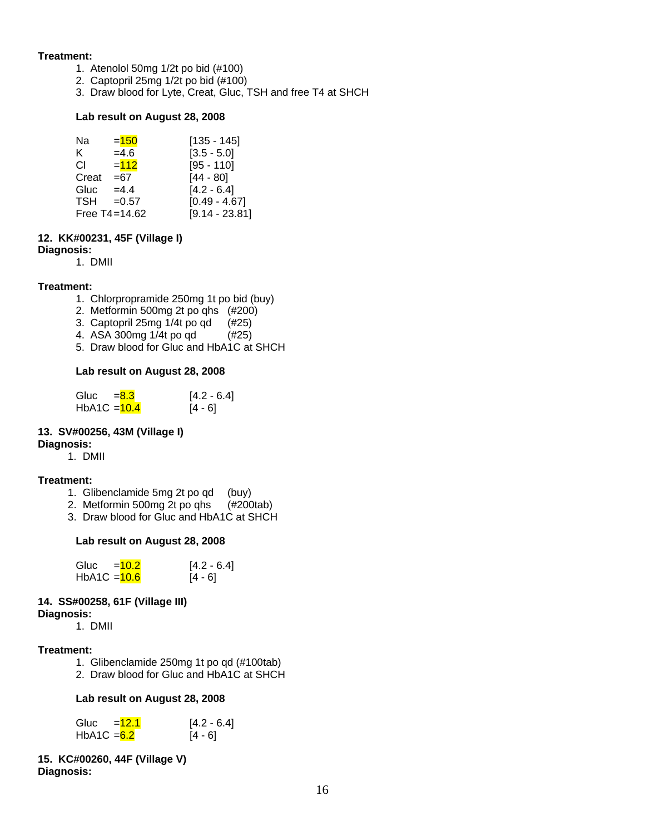#### **Treatment:**

- 1. Atenolol 50mg 1/2t po bid (#100)
	- 2. Captopril 25mg 1/2t po bid (#100)
	- 3. Draw blood for Lyte, Creat, Gluc, TSH and free T4 at SHCH

#### **Lab result on August 28, 2008**

| Na         | $= 150$       | [135 - 145]      |
|------------|---------------|------------------|
| K.         | $=4.6$        | $[3.5 - 5.0]$    |
| СI         | $= 112$       | $[95 - 110]$     |
| Creat      | $= 67$        | $[44 - 80]$      |
| Gluc       | $=4.4$        | $[4.2 - 6.4]$    |
| <b>TSH</b> | $=0.57$       | $[0.49 - 4.67]$  |
|            | Free T4=14.62 | $[9.14 - 23.81]$ |

#### **12. KK#00231, 45F (Village I) Diagnosis:**

1. DMII

#### **Treatment:**

- 1. Chlorpropramide 250mg 1t po bid (buy)
- 2. Metformin 500mg 2t po qhs (#200)
- 3. Captopril 25mg 1/4t po qd (#25)
- 4. ASA 300mg 1/4t po qd (#25)
- 5. Draw blood for Gluc and HbA1C at SHCH

#### **Lab result on August 28, 2008**

| Gluc<br>$= 8.3$ | $[4.2 - 6.4]$ |
|-----------------|---------------|
| HbA1C $=$ 10.4  | $[4 - 6]$     |

#### **13. SV#00256, 43M (Village I)**

#### **Diagnosis:**

1. DMII

#### **Treatment:**

- 1. Glibenclamide 5mg 2t po qd (buy)<br>2. Metformin 500mg 2t po qhs (#200tab)
- 2. Metformin 500mg 2t po qhs
- 3. Draw blood for Gluc and HbA1C at SHCH

#### **Lab result on August 28, 2008**

| $=10.2$<br>Gluc           | $[4.2 - 6.4]$ |
|---------------------------|---------------|
| HbA1C = <mark>10.6</mark> | [4 - 6]       |

#### **14. SS#00258, 61F (Village III)**

**Diagnosis:**

1. DMII

#### **Treatment:**

- 1. Glibenclamide 250mg 1t po qd (#100tab)
- 2. Draw blood for Gluc and HbA1C at SHCH

#### **Lab result on August 28, 2008**

| Gluc<br>$=12.1$ | $[4.2 - 6.4]$ |
|-----------------|---------------|
| HbA1C $=6.2$    | $[4 - 6]$     |

#### **15. KC#00260, 44F (Village V) Diagnosis:**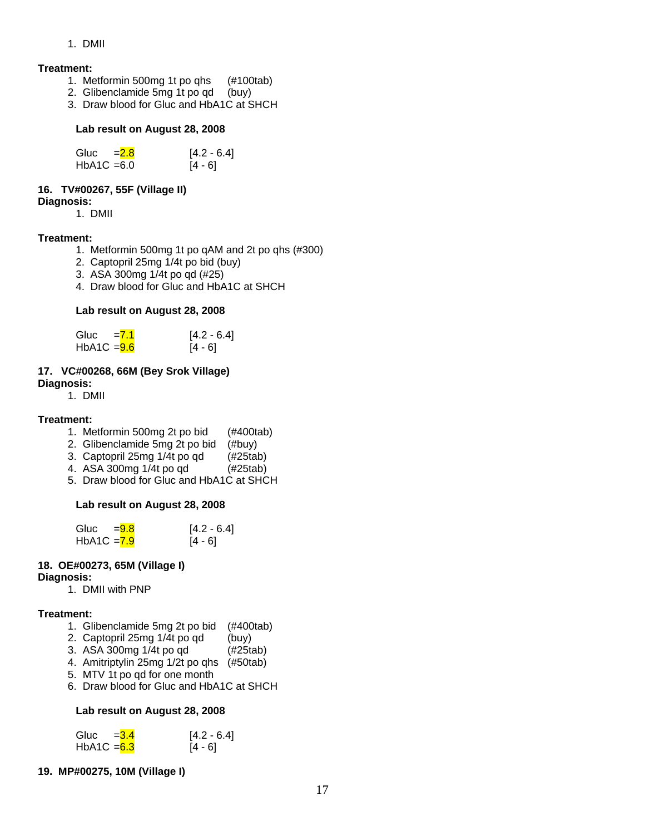1. DMII

#### **Treatment:**

- 1. Metformin 500mg 1t po qhs (#100tab)
- 2. Glibenclamide 5mg 1t po qd (buy)
- 3. Draw blood for Gluc and HbA1C at SHCH

#### **Lab result on August 28, 2008**

| Gluc          | $= 2.8$ | $[4.2 - 6.4]$ |
|---------------|---------|---------------|
| $HbA1C = 6.0$ |         | $[4 - 6]$     |

#### **16. TV#00267, 55F (Village II)**

#### **Diagnosis:**

1. DMII

#### **Treatment:**

- 1. Metformin 500mg 1t po qAM and 2t po qhs (#300)
- 2. Captopril 25mg 1/4t po bid (buy)
- 3. ASA 300mg 1/4t po qd (#25)
- 4. Draw blood for Gluc and HbA1C at SHCH

#### **Lab result on August 28, 2008**

| Gluc          | $= 7.1$ | $[4.2 - 6.4]$ |
|---------------|---------|---------------|
| $HbA1C = 9.6$ |         | $[4 - 6]$     |

#### **17. VC#00268, 66M (Bey Srok Village)**

**Diagnosis:**

1. DMII

#### **Treatment:**

- 1. Metformin 500mg 2t po bid (#400tab)
- 2. Glibenclamide 5mg 2t po bid (#buy)
- 3. Captopril 25mg 1/4t po qd (#25tab)
- 4. ASA 300mg 1/4t po qd (#25tab)
- 5. Draw blood for Gluc and HbA1C at SHCH

#### **Lab result on August 28, 2008**

| Gluc                     | $= 9.8$ | $[4.2 - 6.4]$ |
|--------------------------|---------|---------------|
| HbA1C = <mark>7.9</mark> |         | [4 - 6]       |

#### **18. OE#00273, 65M (Village I)**

#### **Diagnosis:**

1. DMII with PNP

#### **Treatment:**

- 1. Glibenclamide 5mg 2t po bid (#400tab)
- 2. Captopril 25mg 1/4t po qd (buy)<br>3. ASA 300mg 1/4t po qd (#25tab)
- 3. ASA 300 $mg$  1/4t po  $qd$
- 4. Amitriptylin 25mg 1/2t po qhs (#50tab)
- 5. MTV 1t po qd for one month
- 6. Draw blood for Gluc and HbA1C at SHCH

#### **Lab result on August 28, 2008**

| Gluc $=3.4$   | $[4.2 - 6.4]$ |
|---------------|---------------|
| $HbA1C = 6.3$ | $[4 - 6]$     |

**19. MP#00275, 10M (Village I)**